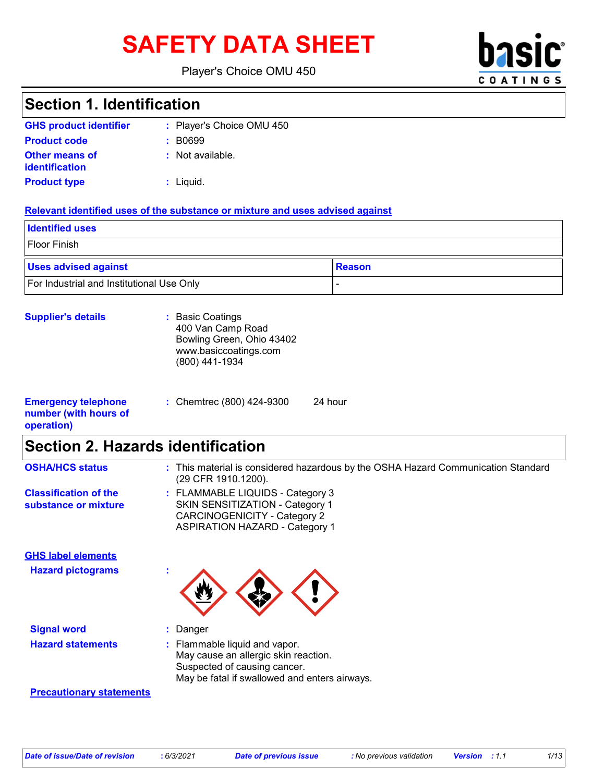# SAFETY DATA SHEET **basic**

Player's Choice OMU 450



# **Section 1. Identification**

| <b>GHS product identifier</b>                  | : Player's Choice OMU 450 |
|------------------------------------------------|---------------------------|
| <b>Product code</b>                            | : B0699                   |
| <b>Other means of</b><br><b>identification</b> | : Not available.          |
| <b>Product type</b>                            | : Liguid.                 |

#### **Relevant identified uses of the substance or mixture and uses advised against**

| <b>Identified uses</b>                    |               |
|-------------------------------------------|---------------|
| Floor Finish                              |               |
| <b>Uses advised against</b>               | <b>Reason</b> |
| For Industrial and Institutional Use Only |               |

#### **Supplier's details :** Basic Coatings

|           | 400 Van Camp Road<br>Bowling Green, Ohio 43402<br>www.basiccoatings.com<br>(800) 441-1934 |         |  |
|-----------|-------------------------------------------------------------------------------------------|---------|--|
| telephone | : Chemtrec (800) 424-9300                                                                 | 24 hour |  |

#### **Emergency number (with hours of operation)**

### **Section 2. Hazards identification**

| <b>OSHA/HCS status</b>                               | : This material is considered hazardous by the OSHA Hazard Communication Standard<br>(29 CFR 1910.1200).                                               |
|------------------------------------------------------|--------------------------------------------------------------------------------------------------------------------------------------------------------|
| <b>Classification of the</b><br>substance or mixture | : FLAMMABLE LIQUIDS - Category 3<br>SKIN SENSITIZATION - Category 1<br>CARCINOGENICITY - Category 2<br><b>ASPIRATION HAZARD - Category 1</b>           |
| <b>GHS label elements</b>                            |                                                                                                                                                        |
| <b>Hazard pictograms</b>                             |                                                                                                                                                        |
| <b>Signal word</b>                                   | : Danger                                                                                                                                               |
| <b>Hazard statements</b>                             | : Flammable liquid and vapor.<br>May cause an allergic skin reaction.<br>Suspected of causing cancer.<br>May be fatal if swallowed and enters airways. |
| <b>Precautionary statements</b>                      |                                                                                                                                                        |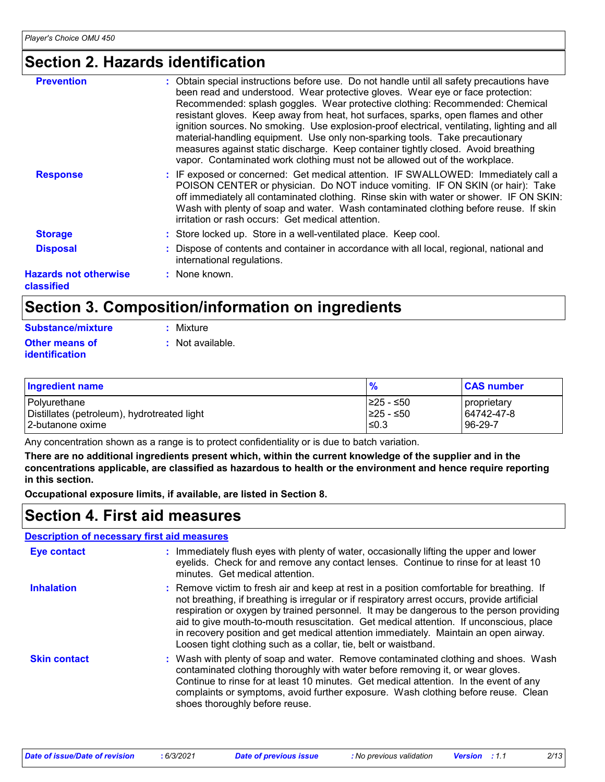### **Section 2. Hazards identification**

| <b>Prevention</b>                          | : Obtain special instructions before use. Do not handle until all safety precautions have<br>been read and understood. Wear protective gloves. Wear eye or face protection:                                                                                                                                                                                                                                                                                                                                           |
|--------------------------------------------|-----------------------------------------------------------------------------------------------------------------------------------------------------------------------------------------------------------------------------------------------------------------------------------------------------------------------------------------------------------------------------------------------------------------------------------------------------------------------------------------------------------------------|
|                                            | Recommended: splash goggles. Wear protective clothing: Recommended: Chemical<br>resistant gloves. Keep away from heat, hot surfaces, sparks, open flames and other<br>ignition sources. No smoking. Use explosion-proof electrical, ventilating, lighting and all<br>material-handling equipment. Use only non-sparking tools. Take precautionary<br>measures against static discharge. Keep container tightly closed. Avoid breathing<br>vapor. Contaminated work clothing must not be allowed out of the workplace. |
| <b>Response</b>                            | : IF exposed or concerned: Get medical attention. IF SWALLOWED: Immediately call a<br>POISON CENTER or physician. Do NOT induce vomiting. IF ON SKIN (or hair): Take<br>off immediately all contaminated clothing. Rinse skin with water or shower. IF ON SKIN:<br>Wash with plenty of soap and water. Wash contaminated clothing before reuse. If skin<br>irritation or rash occurs: Get medical attention.                                                                                                          |
| <b>Storage</b>                             | : Store locked up. Store in a well-ventilated place. Keep cool.                                                                                                                                                                                                                                                                                                                                                                                                                                                       |
| <b>Disposal</b>                            | : Dispose of contents and container in accordance with all local, regional, national and<br>international regulations.                                                                                                                                                                                                                                                                                                                                                                                                |
| <b>Hazards not otherwise</b><br>classified | : None known.                                                                                                                                                                                                                                                                                                                                                                                                                                                                                                         |

# **Section 3. Composition/information on ingredients**

| <b>Substance/mixture</b> | : Mixture        |
|--------------------------|------------------|
| Other means of           | : Not available. |
| <i>identification</i>    |                  |

| <b>Ingredient name</b>                      | $\frac{9}{6}$ | <b>CAS number</b> |
|---------------------------------------------|---------------|-------------------|
| Polyurethane                                | I≥25 - ≤50    | proprietary       |
| Distillates (petroleum), hydrotreated light | I≥25 - ≤50    | 64742-47-8        |
| 12-butanone oxime                           | ≤0.3          | 96-29-7           |

Any concentration shown as a range is to protect confidentiality or is due to batch variation.

**There are no additional ingredients present which, within the current knowledge of the supplier and in the concentrations applicable, are classified as hazardous to health or the environment and hence require reporting in this section.**

**Occupational exposure limits, if available, are listed in Section 8.**

### **Section 4. First aid measures**

#### **Description of necessary first aid measures**

| <b>Eye contact</b>  | : Immediately flush eyes with plenty of water, occasionally lifting the upper and lower<br>eyelids. Check for and remove any contact lenses. Continue to rinse for at least 10<br>minutes. Get medical attention.                                                                                                                                                                                                                                                                                                                         |
|---------------------|-------------------------------------------------------------------------------------------------------------------------------------------------------------------------------------------------------------------------------------------------------------------------------------------------------------------------------------------------------------------------------------------------------------------------------------------------------------------------------------------------------------------------------------------|
| <b>Inhalation</b>   | : Remove victim to fresh air and keep at rest in a position comfortable for breathing. If<br>not breathing, if breathing is irregular or if respiratory arrest occurs, provide artificial<br>respiration or oxygen by trained personnel. It may be dangerous to the person providing<br>aid to give mouth-to-mouth resuscitation. Get medical attention. If unconscious, place<br>in recovery position and get medical attention immediately. Maintain an open airway.<br>Loosen tight clothing such as a collar, tie, belt or waistband. |
| <b>Skin contact</b> | : Wash with plenty of soap and water. Remove contaminated clothing and shoes. Wash<br>contaminated clothing thoroughly with water before removing it, or wear gloves.<br>Continue to rinse for at least 10 minutes. Get medical attention. In the event of any<br>complaints or symptoms, avoid further exposure. Wash clothing before reuse. Clean<br>shoes thoroughly before reuse.                                                                                                                                                     |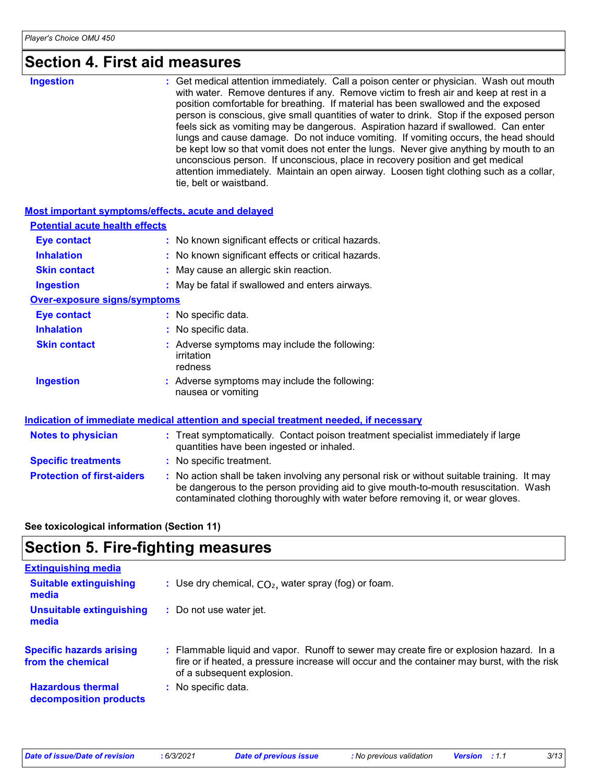### **Section 4. First aid measures**

| Ingestion |  |
|-----------|--|
|           |  |

**Ingestion 1988 : Get medical attention immediately. Call a poison center or physician. Wash out mouth <b>ingestion** with water. Remove dentures if any. Remove victim to fresh air and keep at rest in a position comfortable for breathing. If material has been swallowed and the exposed person is conscious, give small quantities of water to drink. Stop if the exposed person feels sick as vomiting may be dangerous. Aspiration hazard if swallowed. Can enter lungs and cause damage. Do not induce vomiting. If vomiting occurs, the head should be kept low so that vomit does not enter the lungs. Never give anything by mouth to an unconscious person. If unconscious, place in recovery position and get medical attention immediately. Maintain an open airway. Loosen tight clothing such as a collar, tie, belt or waistband.

| Most important symptoms/effects, acute and delayed |                                                                                                                                                                                                                                                                       |
|----------------------------------------------------|-----------------------------------------------------------------------------------------------------------------------------------------------------------------------------------------------------------------------------------------------------------------------|
| <b>Potential acute health effects</b>              |                                                                                                                                                                                                                                                                       |
| <b>Eye contact</b>                                 | : No known significant effects or critical hazards.                                                                                                                                                                                                                   |
| <b>Inhalation</b>                                  | : No known significant effects or critical hazards.                                                                                                                                                                                                                   |
| <b>Skin contact</b>                                | : May cause an allergic skin reaction.                                                                                                                                                                                                                                |
| <b>Ingestion</b>                                   | : May be fatal if swallowed and enters airways.                                                                                                                                                                                                                       |
| <b>Over-exposure signs/symptoms</b>                |                                                                                                                                                                                                                                                                       |
| <b>Eye contact</b>                                 | : No specific data.                                                                                                                                                                                                                                                   |
| <b>Inhalation</b>                                  | : No specific data.                                                                                                                                                                                                                                                   |
| <b>Skin contact</b>                                | : Adverse symptoms may include the following:<br>irritation<br>redness                                                                                                                                                                                                |
| <b>Ingestion</b>                                   | : Adverse symptoms may include the following:<br>nausea or vomiting                                                                                                                                                                                                   |
|                                                    | Indication of immediate medical attention and special treatment needed, if necessary                                                                                                                                                                                  |
| <b>Notes to physician</b>                          | : Treat symptomatically. Contact poison treatment specialist immediately if large<br>quantities have been ingested or inhaled.                                                                                                                                        |
| <b>Specific treatments</b>                         | : No specific treatment.                                                                                                                                                                                                                                              |
| <b>Protection of first-aiders</b>                  | : No action shall be taken involving any personal risk or without suitable training. It may<br>be dangerous to the person providing aid to give mouth-to-mouth resuscitation. Wash<br>contaminated clothing thoroughly with water before removing it, or wear gloves. |

#### **See toxicological information (Section 11)**

### **Section 5. Fire-fighting measures**

| <b>Extinguishing media</b>                           |                                                                                                                                                                                                                     |
|------------------------------------------------------|---------------------------------------------------------------------------------------------------------------------------------------------------------------------------------------------------------------------|
| <b>Suitable extinguishing</b><br>media               | Use dry chemical, $CO2$ , water spray (fog) or foam.<br>÷.                                                                                                                                                          |
| <b>Unsuitable extinguishing</b><br>media             | Do not use water jet.                                                                                                                                                                                               |
| <b>Specific hazards arising</b><br>from the chemical | Flammable liquid and vapor. Runoff to sewer may create fire or explosion hazard. In a<br>fire or if heated, a pressure increase will occur and the container may burst, with the risk<br>of a subsequent explosion. |
| <b>Hazardous thermal</b><br>decomposition products   | No specific data.                                                                                                                                                                                                   |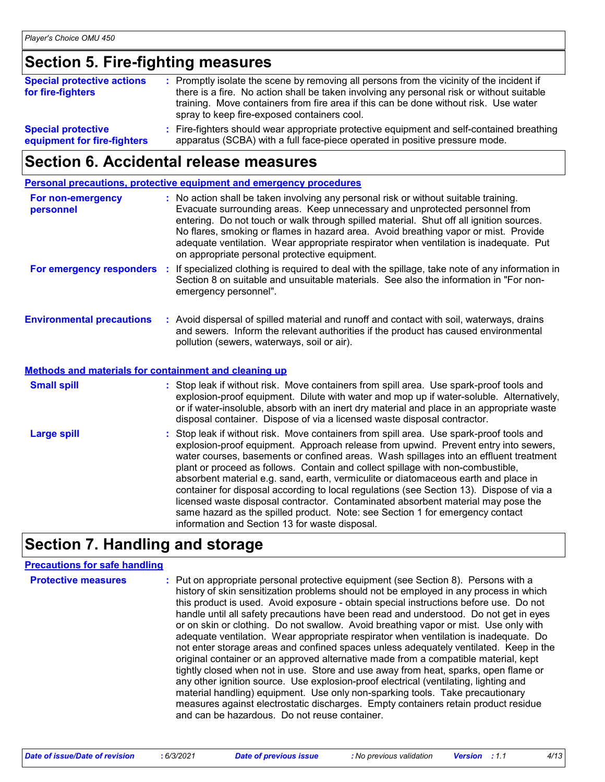### **Section 5. Fire-fighting measures**

| <b>Special protective actions</b><br>for fire-fighters   | : Promptly isolate the scene by removing all persons from the vicinity of the incident if<br>there is a fire. No action shall be taken involving any personal risk or without suitable<br>training. Move containers from fire area if this can be done without risk. Use water<br>spray to keep fire-exposed containers cool. |
|----------------------------------------------------------|-------------------------------------------------------------------------------------------------------------------------------------------------------------------------------------------------------------------------------------------------------------------------------------------------------------------------------|
| <b>Special protective</b><br>equipment for fire-fighters | : Fire-fighters should wear appropriate protective equipment and self-contained breathing<br>apparatus (SCBA) with a full face-piece operated in positive pressure mode.                                                                                                                                                      |

### **Section 6. Accidental release measures**

**Personal precautions, protective equipment and emergency procedures**

| For non-emergency<br>personnel                               | : No action shall be taken involving any personal risk or without suitable training.<br>Evacuate surrounding areas. Keep unnecessary and unprotected personnel from<br>entering. Do not touch or walk through spilled material. Shut off all ignition sources.<br>No flares, smoking or flames in hazard area. Avoid breathing vapor or mist. Provide<br>adequate ventilation. Wear appropriate respirator when ventilation is inadequate. Put<br>on appropriate personal protective equipment.                                                                                                                                   |
|--------------------------------------------------------------|-----------------------------------------------------------------------------------------------------------------------------------------------------------------------------------------------------------------------------------------------------------------------------------------------------------------------------------------------------------------------------------------------------------------------------------------------------------------------------------------------------------------------------------------------------------------------------------------------------------------------------------|
| For emergency responders                                     | : If specialized clothing is required to deal with the spillage, take note of any information in<br>Section 8 on suitable and unsuitable materials. See also the information in "For non-<br>emergency personnel".                                                                                                                                                                                                                                                                                                                                                                                                                |
| <b>Environmental precautions</b>                             | : Avoid dispersal of spilled material and runoff and contact with soil, waterways, drains<br>and sewers. Inform the relevant authorities if the product has caused environmental<br>pollution (sewers, waterways, soil or air).                                                                                                                                                                                                                                                                                                                                                                                                   |
| <b>Methods and materials for containment and cleaning up</b> |                                                                                                                                                                                                                                                                                                                                                                                                                                                                                                                                                                                                                                   |
| <b>Small spill</b>                                           | : Stop leak if without risk. Move containers from spill area. Use spark-proof tools and<br>explosion-proof equipment. Dilute with water and mop up if water-soluble. Alternatively,<br>or if water-insoluble, absorb with an inert dry material and place in an appropriate waste<br>disposal container. Dispose of via a licensed waste disposal contractor.                                                                                                                                                                                                                                                                     |
| <b>Large spill</b>                                           | : Stop leak if without risk. Move containers from spill area. Use spark-proof tools and<br>explosion-proof equipment. Approach release from upwind. Prevent entry into sewers,<br>water courses, basements or confined areas. Wash spillages into an effluent treatment<br>plant or proceed as follows. Contain and collect spillage with non-combustible,<br>absorbent material e.g. sand, earth, vermiculite or diatomaceous earth and place in<br>container for disposal according to local regulations (see Section 13). Dispose of via a<br>licensed waste disposal contractor. Contaminated absorbent material may pose the |

### **Section 7. Handling and storage**

#### **Precautions for safe handling**

**Protective measures** : Put on appropriate personal protective equipment (see Section 8). Persons with a **Protestion** history of skin sensitization problems should not be employed in any process in which this product is used. Avoid exposure - obtain special instructions before use. Do not handle until all safety precautions have been read and understood. Do not get in eyes or on skin or clothing. Do not swallow. Avoid breathing vapor or mist. Use only with adequate ventilation. Wear appropriate respirator when ventilation is inadequate. Do not enter storage areas and confined spaces unless adequately ventilated. Keep in the original container or an approved alternative made from a compatible material, kept tightly closed when not in use. Store and use away from heat, sparks, open flame or any other ignition source. Use explosion-proof electrical (ventilating, lighting and material handling) equipment. Use only non-sparking tools. Take precautionary measures against electrostatic discharges. Empty containers retain product residue and can be hazardous. Do not reuse container.

information and Section 13 for waste disposal.

same hazard as the spilled product. Note: see Section 1 for emergency contact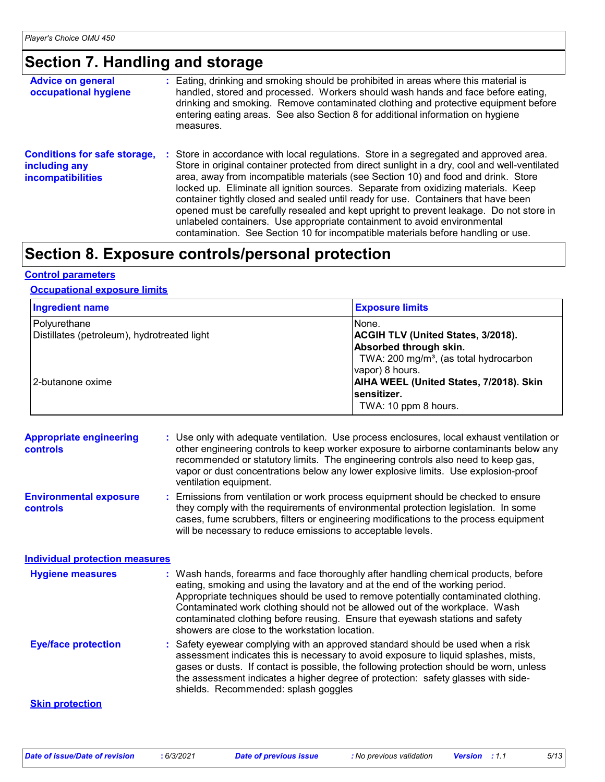# **Section 7. Handling and storage**

| <b>Advice on general</b><br>occupational hygiene                                 | : Eating, drinking and smoking should be prohibited in areas where this material is<br>handled, stored and processed. Workers should wash hands and face before eating,<br>drinking and smoking. Remove contaminated clothing and protective equipment before<br>entering eating areas. See also Section 8 for additional information on hygiene<br>measures.                                                                                                                                                                                                                                                                                                                                                      |
|----------------------------------------------------------------------------------|--------------------------------------------------------------------------------------------------------------------------------------------------------------------------------------------------------------------------------------------------------------------------------------------------------------------------------------------------------------------------------------------------------------------------------------------------------------------------------------------------------------------------------------------------------------------------------------------------------------------------------------------------------------------------------------------------------------------|
| <b>Conditions for safe storage,</b><br>including any<br><b>incompatibilities</b> | : Store in accordance with local regulations. Store in a segregated and approved area.<br>Store in original container protected from direct sunlight in a dry, cool and well-ventilated<br>area, away from incompatible materials (see Section 10) and food and drink. Store<br>locked up. Eliminate all ignition sources. Separate from oxidizing materials. Keep<br>container tightly closed and sealed until ready for use. Containers that have been<br>opened must be carefully resealed and kept upright to prevent leakage. Do not store in<br>unlabeled containers. Use appropriate containment to avoid environmental<br>contamination. See Section 10 for incompatible materials before handling or use. |

# **Section 8. Exposure controls/personal protection**

#### **Control parameters**

#### **Occupational exposure limits**

| <b>Ingredient name</b>                                      | <b>Exposure limits</b>                                                                                                              |
|-------------------------------------------------------------|-------------------------------------------------------------------------------------------------------------------------------------|
| Polyurethane<br>Distillates (petroleum), hydrotreated light | INone.<br><b>ACGIH TLV (United States, 3/2018).</b><br>Absorbed through skin.<br>TWA: 200 mg/m <sup>3</sup> , (as total hydrocarbon |
| 2-butanone oxime                                            | vapor) 8 hours.<br>AIHA WEEL (United States, 7/2018). Skin<br>sensitizer.<br>TWA: 10 ppm 8 hours.                                   |

| <b>Appropriate engineering</b><br><b>controls</b> | : Use only with adequate ventilation. Use process enclosures, local exhaust ventilation or<br>other engineering controls to keep worker exposure to airborne contaminants below any<br>recommended or statutory limits. The engineering controls also need to keep gas,<br>vapor or dust concentrations below any lower explosive limits. Use explosion-proof<br>ventilation equipment.                                                                                     |
|---------------------------------------------------|-----------------------------------------------------------------------------------------------------------------------------------------------------------------------------------------------------------------------------------------------------------------------------------------------------------------------------------------------------------------------------------------------------------------------------------------------------------------------------|
| <b>Environmental exposure</b><br><b>controls</b>  | Emissions from ventilation or work process equipment should be checked to ensure<br>they comply with the requirements of environmental protection legislation. In some<br>cases, fume scrubbers, filters or engineering modifications to the process equipment<br>will be necessary to reduce emissions to acceptable levels.                                                                                                                                               |
| <b>Individual protection measures</b>             |                                                                                                                                                                                                                                                                                                                                                                                                                                                                             |
| <b>Hygiene measures</b>                           | : Wash hands, forearms and face thoroughly after handling chemical products, before<br>eating, smoking and using the lavatory and at the end of the working period.<br>Appropriate techniques should be used to remove potentially contaminated clothing.<br>Contaminated work clothing should not be allowed out of the workplace. Wash<br>contaminated clothing before reusing. Ensure that eyewash stations and safety<br>showers are close to the workstation location. |
| <b>Eye/face protection</b>                        | : Safety eyewear complying with an approved standard should be used when a risk<br>assessment indicates this is necessary to avoid exposure to liquid splashes, mists,<br>gases or dusts. If contact is possible, the following protection should be worn, unless<br>the assessment indicates a higher degree of protection: safety glasses with side-<br>shields. Recommended: splash goggles                                                                              |
| <b>Skin protection</b>                            |                                                                                                                                                                                                                                                                                                                                                                                                                                                                             |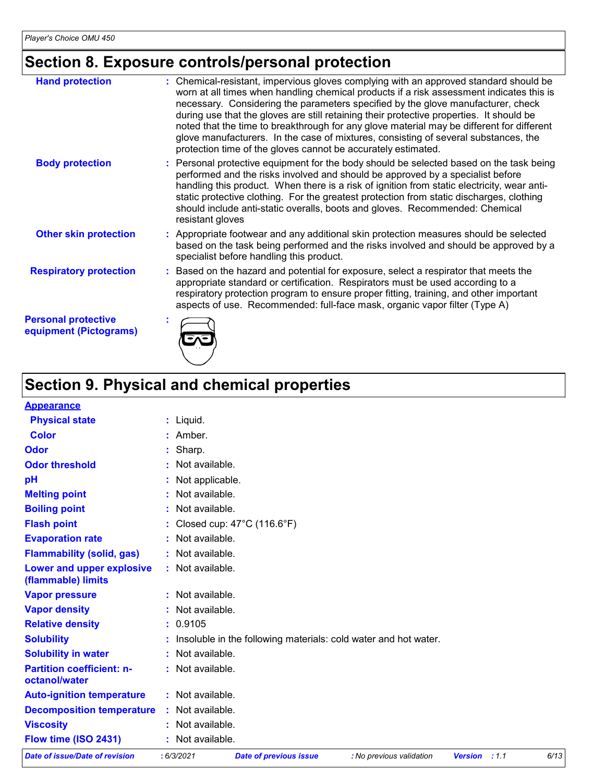# **Section 8. Exposure controls/personal protection**

| <b>Hand protection</b>                               | : Chemical-resistant, impervious gloves complying with an approved standard should be<br>worn at all times when handling chemical products if a risk assessment indicates this is<br>necessary. Considering the parameters specified by the glove manufacturer, check<br>during use that the gloves are still retaining their protective properties. It should be<br>noted that the time to breakthrough for any glove material may be different for different<br>glove manufacturers. In the case of mixtures, consisting of several substances, the<br>protection time of the gloves cannot be accurately estimated. |
|------------------------------------------------------|------------------------------------------------------------------------------------------------------------------------------------------------------------------------------------------------------------------------------------------------------------------------------------------------------------------------------------------------------------------------------------------------------------------------------------------------------------------------------------------------------------------------------------------------------------------------------------------------------------------------|
| <b>Body protection</b>                               | : Personal protective equipment for the body should be selected based on the task being<br>performed and the risks involved and should be approved by a specialist before<br>handling this product. When there is a risk of ignition from static electricity, wear anti-<br>static protective clothing. For the greatest protection from static discharges, clothing<br>should include anti-static overalls, boots and gloves. Recommended: Chemical<br>resistant gloves                                                                                                                                               |
| <b>Other skin protection</b>                         | : Appropriate footwear and any additional skin protection measures should be selected<br>based on the task being performed and the risks involved and should be approved by a<br>specialist before handling this product.                                                                                                                                                                                                                                                                                                                                                                                              |
| <b>Respiratory protection</b>                        | : Based on the hazard and potential for exposure, select a respirator that meets the<br>appropriate standard or certification. Respirators must be used according to a<br>respiratory protection program to ensure proper fitting, training, and other important<br>aspects of use. Recommended: full-face mask, organic vapor filter (Type A)                                                                                                                                                                                                                                                                         |
| <b>Personal protective</b><br>equipment (Pictograms) |                                                                                                                                                                                                                                                                                                                                                                                                                                                                                                                                                                                                                        |

# **Section 9. Physical and chemical properties**

| <b>Appearance</b>                                 |                   |                                                   |                                                                   |                      |      |
|---------------------------------------------------|-------------------|---------------------------------------------------|-------------------------------------------------------------------|----------------------|------|
| <b>Physical state</b>                             | $:$ Liquid.       |                                                   |                                                                   |                      |      |
| <b>Color</b>                                      | $:$ Amber.        |                                                   |                                                                   |                      |      |
| Odor                                              | : Sharp.          |                                                   |                                                                   |                      |      |
| <b>Odor threshold</b>                             | : Not available.  |                                                   |                                                                   |                      |      |
| pH                                                | : Not applicable. |                                                   |                                                                   |                      |      |
| <b>Melting point</b>                              | : Not available.  |                                                   |                                                                   |                      |      |
| <b>Boiling point</b>                              | : Not available.  |                                                   |                                                                   |                      |      |
| <b>Flash point</b>                                |                   | : Closed cup: $47^{\circ}$ C (116.6 $^{\circ}$ F) |                                                                   |                      |      |
| <b>Evaporation rate</b>                           | : Not available.  |                                                   |                                                                   |                      |      |
| <b>Flammability (solid, gas)</b>                  | : Not available.  |                                                   |                                                                   |                      |      |
| Lower and upper explosive<br>(flammable) limits   | : Not available.  |                                                   |                                                                   |                      |      |
| <b>Vapor pressure</b>                             | : Not available.  |                                                   |                                                                   |                      |      |
| <b>Vapor density</b>                              | : Not available.  |                                                   |                                                                   |                      |      |
| <b>Relative density</b>                           | : 0.9105          |                                                   |                                                                   |                      |      |
| <b>Solubility</b>                                 |                   |                                                   | : Insoluble in the following materials: cold water and hot water. |                      |      |
| <b>Solubility in water</b>                        | : Not available.  |                                                   |                                                                   |                      |      |
| <b>Partition coefficient: n-</b><br>octanol/water | : Not available.  |                                                   |                                                                   |                      |      |
| <b>Auto-ignition temperature</b>                  | : Not available.  |                                                   |                                                                   |                      |      |
| <b>Decomposition temperature</b>                  | : Not available.  |                                                   |                                                                   |                      |      |
| <b>Viscosity</b>                                  | : Not available.  |                                                   |                                                                   |                      |      |
| Flow time (ISO 2431)                              | Not available.    |                                                   |                                                                   |                      |      |
| Date of issue/Date of revision                    | : 6/3/2021        | <b>Date of previous issue</b>                     | : No previous validation                                          | <b>Version</b> : 1.1 | 6/13 |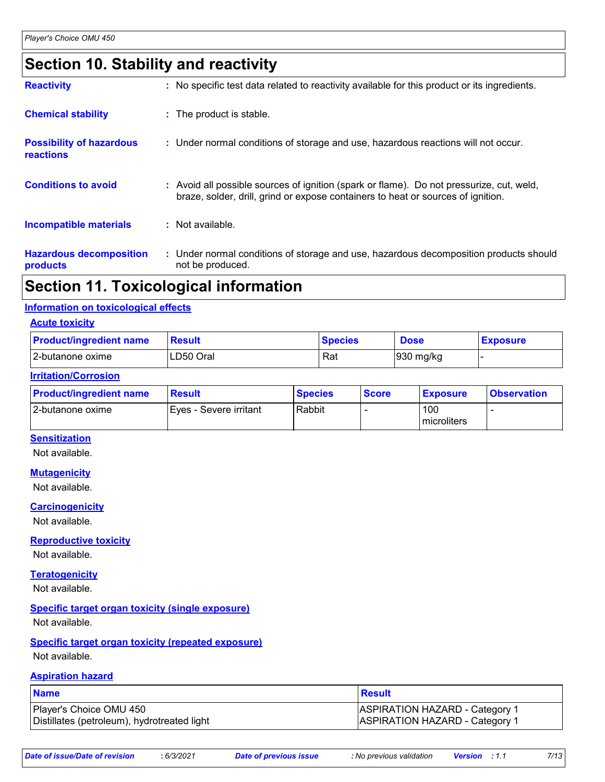# **Section 10. Stability and reactivity**

| <b>Reactivity</b>                            | : No specific test data related to reactivity available for this product or its ingredients.                                                                                 |
|----------------------------------------------|------------------------------------------------------------------------------------------------------------------------------------------------------------------------------|
| <b>Chemical stability</b>                    | : The product is stable.                                                                                                                                                     |
| <b>Possibility of hazardous</b><br>reactions | : Under normal conditions of storage and use, hazardous reactions will not occur.                                                                                            |
| <b>Conditions to avoid</b>                   | : Avoid all possible sources of ignition (spark or flame). Do not pressurize, cut, weld,<br>braze, solder, drill, grind or expose containers to heat or sources of ignition. |
| <b>Incompatible materials</b>                | : Not available.                                                                                                                                                             |
| <b>Hazardous decomposition</b><br>products   | : Under normal conditions of storage and use, hazardous decomposition products should<br>not be produced.                                                                    |

### **Section 11. Toxicological information**

#### **Information on toxicological effects**

#### **Acute toxicity**

| <b>Product/ingredient name</b> | Result     | <b>Species</b> | <b>Dose</b> | <b>Exposure</b> |
|--------------------------------|------------|----------------|-------------|-----------------|
| 12-butanone oxime              | ILD50 Oral | Rat            | 930 mg/kg   |                 |

#### **Irritation/Corrosion**

| <b>Product/ingredient name</b> | <b>Result</b>          | <b>Species</b> | <b>Score</b> | <b>Exposure</b>    | <b>Observation</b> |
|--------------------------------|------------------------|----------------|--------------|--------------------|--------------------|
| 12-butanone oxime              | Eyes - Severe irritant | Rabbit         |              | 100<br>microliters |                    |

#### **Sensitization**

Not available.

#### **Mutagenicity**

Not available.

#### **Carcinogenicity**

Not available.

#### **Reproductive toxicity**

Not available.

#### **Teratogenicity**

Not available.

#### **Specific target organ toxicity (single exposure)**

Not available.

#### **Specific target organ toxicity (repeated exposure)** Not available.

#### **Aspiration hazard**

| <b>Name</b>                                 | Result                                |
|---------------------------------------------|---------------------------------------|
| Player's Choice OMU 450                     | <b>ASPIRATION HAZARD - Category 1</b> |
| Distillates (petroleum), hydrotreated light | <b>ASPIRATION HAZARD - Category 1</b> |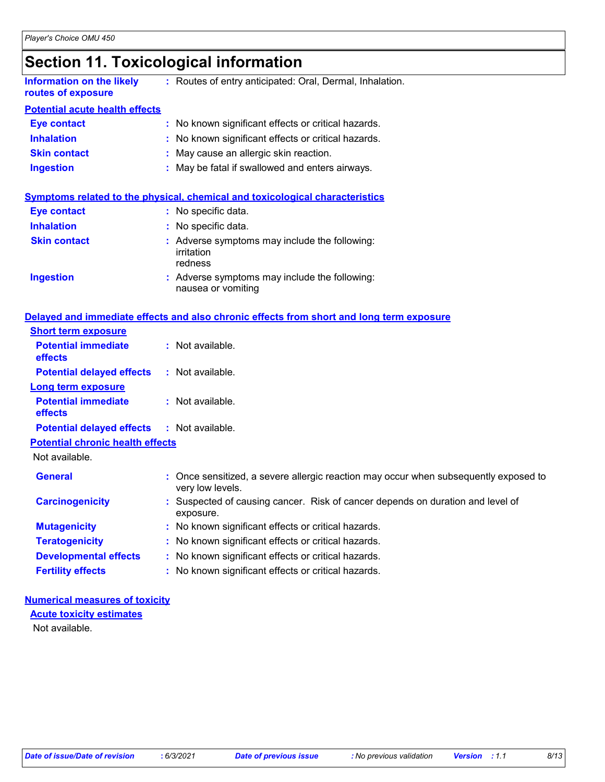# **Section 11. Toxicological information**

| <b>Information on the likely</b><br>routes of exposure | : Routes of entry anticipated: Oral, Dermal, Inhalation.                                                   |
|--------------------------------------------------------|------------------------------------------------------------------------------------------------------------|
| <b>Potential acute health effects</b>                  |                                                                                                            |
| Eye contact                                            | : No known significant effects or critical hazards.                                                        |
| <b>Inhalation</b>                                      | : No known significant effects or critical hazards.                                                        |
| <b>Skin contact</b>                                    | : May cause an allergic skin reaction.                                                                     |
| <b>Ingestion</b>                                       | : May be fatal if swallowed and enters airways.                                                            |
| Eye contact                                            | <u>Symptoms related to the physical, chemical and toxicological characteristics</u><br>: No specific data. |
|                                                        |                                                                                                            |
| <b>Inhalation</b>                                      | : No specific data.                                                                                        |
| <b>Skin contact</b>                                    | : Adverse symptoms may include the following:<br>irritation<br>redness                                     |
| <b>Ingestion</b>                                       | : Adverse symptoms may include the following:<br>nausea or vomiting                                        |
|                                                        | Delayed and immediate effects and also chronic effects from short and long term exposure                   |

| <b>Short term exposure</b>                        |                                                                                                          |
|---------------------------------------------------|----------------------------------------------------------------------------------------------------------|
| <b>Potential immediate</b><br><b>effects</b>      | $:$ Not available.                                                                                       |
| <b>Potential delayed effects</b>                  | $:$ Not available.                                                                                       |
| <b>Long term exposure</b>                         |                                                                                                          |
| <b>Potential immediate</b><br><b>effects</b>      | $:$ Not available.                                                                                       |
| <b>Potential delayed effects : Not available.</b> |                                                                                                          |
| <b>Potential chronic health effects</b>           |                                                                                                          |
| Not available.                                    |                                                                                                          |
| <b>General</b>                                    | : Once sensitized, a severe allergic reaction may occur when subsequently exposed to<br>very low levels. |
| <b>Carcinogenicity</b>                            | : Suspected of causing cancer. Risk of cancer depends on duration and level of<br>exposure.              |
| <b>Mutagenicity</b>                               | : No known significant effects or critical hazards.                                                      |
| <b>Teratogenicity</b>                             | : No known significant effects or critical hazards.                                                      |
| <b>Developmental effects</b>                      | : No known significant effects or critical hazards.                                                      |
| <b>Fertility effects</b>                          | : No known significant effects or critical hazards.                                                      |
|                                                   |                                                                                                          |

#### **Numerical measures of toxicity Acute toxicity estimates**

Not available.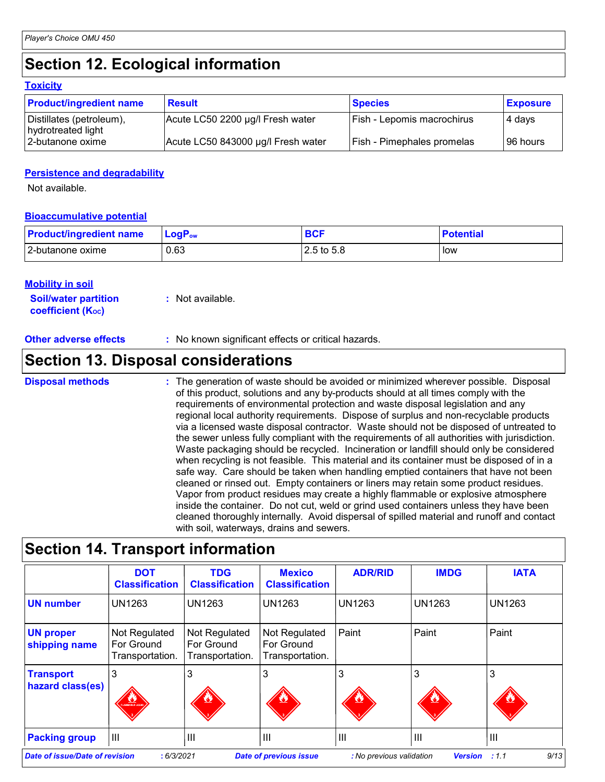# **Section 12. Ecological information**

|  |  | Toxicitv |  |  |  |
|--|--|----------|--|--|--|
|--|--|----------|--|--|--|

| <b>Product/ingredient name</b>                 | <b>Result</b>                      | <b>Species</b>                    | <b>Exposure</b> |
|------------------------------------------------|------------------------------------|-----------------------------------|-----------------|
| Distillates (petroleum),<br>hydrotreated light | Acute LC50 2200 µg/l Fresh water   | <b>Fish - Lepomis macrochirus</b> | 4 days          |
| I2-butanone oxime                              | Acute LC50 843000 µg/l Fresh water | Fish - Pimephales promelas        | I96 hours       |

#### **Persistence and degradability**

Not available.

#### **Bioaccumulative potential**

| <b>Product/ingredient name</b> | $LogPow$ | <b>DAL</b> | <b>Potential</b> |
|--------------------------------|----------|------------|------------------|
| 2-butanone oxime               | 0.63     | 2.5 to 5.8 | low              |

#### **Mobility in soil**

**Soil/water partition coefficient (KOC) :** Not available.

#### **Other adverse effects** : No known significant effects or critical hazards.

### **Section 13. Disposal considerations**

The generation of waste should be avoided or minimized wherever possible. Disposal of this product, solutions and any by-products should at all times comply with the requirements of environmental protection and waste disposal legislation and any regional local authority requirements. Dispose of surplus and non-recyclable products via a licensed waste disposal contractor. Waste should not be disposed of untreated to the sewer unless fully compliant with the requirements of all authorities with jurisdiction. Waste packaging should be recycled. Incineration or landfill should only be considered when recycling is not feasible. This material and its container must be disposed of in a safe way. Care should be taken when handling emptied containers that have not been cleaned or rinsed out. Empty containers or liners may retain some product residues. Vapor from product residues may create a highly flammable or explosive atmosphere inside the container. Do not cut, weld or grind used containers unless they have been cleaned thoroughly internally. Avoid dispersal of spilled material and runoff and contact with soil, waterways, drains and sewers. **Disposal methods :**

# **Section 14. Transport information**

|                                                                                                                                                     | <b>DOT</b><br><b>Classification</b>            | <b>TDG</b><br><b>Classification</b>            | <b>Mexico</b><br><b>Classification</b>         | <b>ADR/RID</b> | <b>IMDG</b> | <b>IATA</b>    |
|-----------------------------------------------------------------------------------------------------------------------------------------------------|------------------------------------------------|------------------------------------------------|------------------------------------------------|----------------|-------------|----------------|
| <b>UN number</b>                                                                                                                                    | <b>UN1263</b>                                  | <b>UN1263</b>                                  | <b>UN1263</b>                                  | <b>UN1263</b>  | UN1263      | <b>UN1263</b>  |
| <b>UN proper</b><br>shipping name                                                                                                                   | Not Regulated<br>For Ground<br>Transportation. | Not Regulated<br>For Ground<br>Transportation. | Not Regulated<br>For Ground<br>Transportation. | Paint          | Paint       | Paint          |
| <b>Transport</b><br>hazard class(es)                                                                                                                | <b>TAN DE LA CARD</b>                          | 3<br>۸                                         | 3<br>Ø,                                        | 3              | 3           | 3              |
| <b>Packing group</b>                                                                                                                                | $\mathbf{III}$                                 | $\mathbf{III}$                                 | $\mathsf{III}$                                 | $\mathbf{III}$ | ĪШ          | $\mathbf{III}$ |
| 9/13<br><b>Date of issue/Date of revision</b><br>: 6/3/2021<br><b>Date of previous issue</b><br><b>Version</b><br>: 1.1<br>: No previous validation |                                                |                                                |                                                |                |             |                |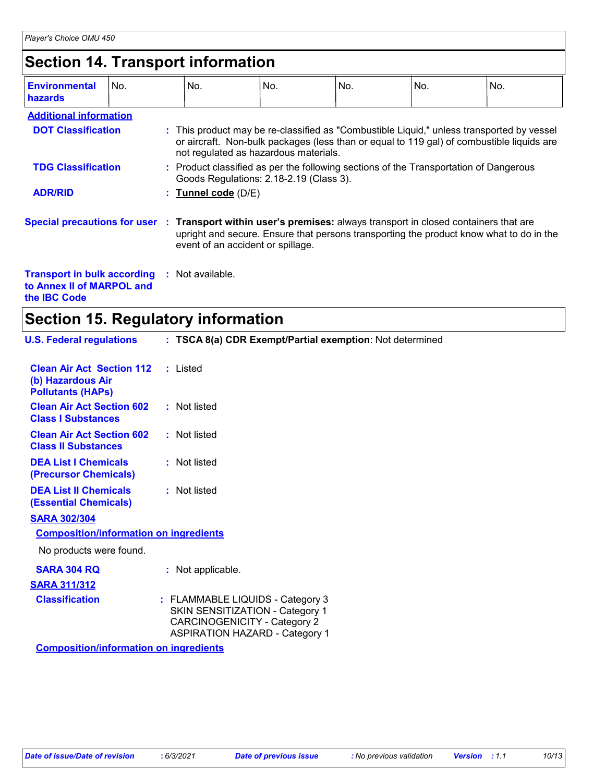# **Section 14. Transport information**

| <b>Environmental</b><br>hazards                                                                                 | No. | No.                                                                                                                                                                                                                             | No. | No. | No. | No. |
|-----------------------------------------------------------------------------------------------------------------|-----|---------------------------------------------------------------------------------------------------------------------------------------------------------------------------------------------------------------------------------|-----|-----|-----|-----|
| <b>Additional information</b>                                                                                   |     |                                                                                                                                                                                                                                 |     |     |     |     |
| <b>DOT Classification</b>                                                                                       |     | : This product may be re-classified as "Combustible Liquid," unless transported by vessel<br>or aircraft. Non-bulk packages (less than or equal to 119 gal) of combustible liquids are<br>not regulated as hazardous materials. |     |     |     |     |
| <b>TDG Classification</b>                                                                                       |     | : Product classified as per the following sections of the Transportation of Dangerous<br>Goods Regulations: 2.18-2.19 (Class 3).                                                                                                |     |     |     |     |
| <b>ADR/RID</b>                                                                                                  |     | : Tunnel code (D/E)                                                                                                                                                                                                             |     |     |     |     |
| Special precautions for user : Transport within user's premises: always transport in closed containers that are |     | upright and secure. Ensure that persons transporting the product know what to do in the<br>event of an accident or spillage.                                                                                                    |     |     |     |     |
| <b>Transport in bulk according</b><br>to Annex II of MARPOL and                                                 |     | : Not available.                                                                                                                                                                                                                |     |     |     |     |

**the IBC Code**

# **Section 15. Regulatory information**

| <b>U.S. Federal regulations</b>                                                   | : TSCA 8(a) CDR Exempt/Partial exemption: Not determined                                                                                            |
|-----------------------------------------------------------------------------------|-----------------------------------------------------------------------------------------------------------------------------------------------------|
|                                                                                   |                                                                                                                                                     |
| <b>Clean Air Act Section 112</b><br>(b) Hazardous Air<br><b>Pollutants (HAPs)</b> | : Listed                                                                                                                                            |
| <b>Clean Air Act Section 602</b><br><b>Class I Substances</b>                     | : Not listed                                                                                                                                        |
| <b>Clean Air Act Section 602</b><br><b>Class II Substances</b>                    | : Not listed                                                                                                                                        |
| <b>DEA List I Chemicals</b><br>(Precursor Chemicals)                              | : Not listed                                                                                                                                        |
| <b>DEA List II Chemicals</b><br><b>(Essential Chemicals)</b>                      | : Not listed                                                                                                                                        |
| <b>SARA 302/304</b>                                                               |                                                                                                                                                     |
| <b>Composition/information on ingredients</b>                                     |                                                                                                                                                     |
| No products were found.                                                           |                                                                                                                                                     |
| <b>SARA 304 RQ</b>                                                                | : Not applicable.                                                                                                                                   |
| <b>SARA 311/312</b>                                                               |                                                                                                                                                     |
| <b>Classification</b>                                                             | : FLAMMABLE LIQUIDS - Category 3<br>SKIN SENSITIZATION - Category 1<br><b>CARCINOGENICITY - Category 2</b><br><b>ASPIRATION HAZARD - Category 1</b> |
| <b>Composition/information on ingredients</b>                                     |                                                                                                                                                     |
|                                                                                   |                                                                                                                                                     |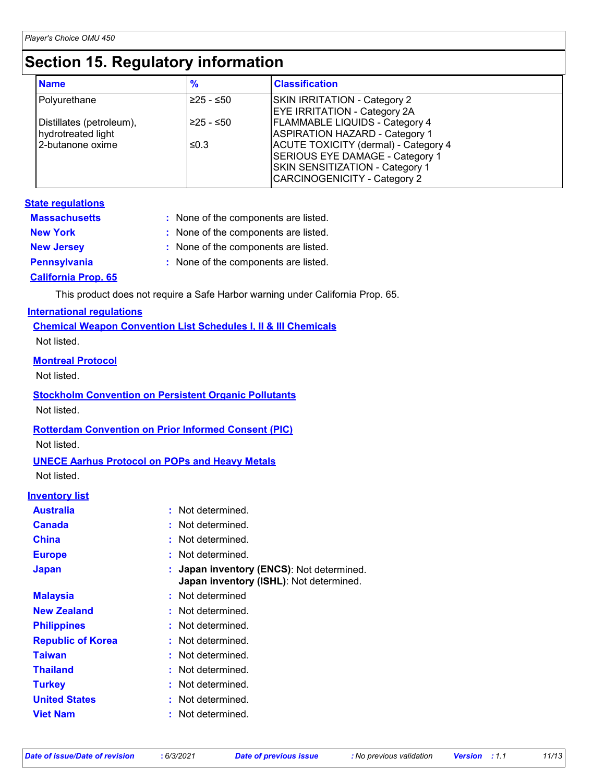# **Section 15. Regulatory information**

| <b>Name</b>                                    | $\frac{9}{6}$ | <b>Classification</b>                                                                                                                                    |
|------------------------------------------------|---------------|----------------------------------------------------------------------------------------------------------------------------------------------------------|
| Polyurethane                                   | $≥25 - ≤50$   | SKIN IRRITATION - Category 2<br><b>EYE IRRITATION - Category 2A</b>                                                                                      |
| Distillates (petroleum),<br>hydrotreated light | $≥25 - ≤50$   | <b>FLAMMABLE LIQUIDS - Category 4</b><br><b>ASPIRATION HAZARD - Category 1</b>                                                                           |
| 2-butanone oxime                               | ≤0.3          | <b>ACUTE TOXICITY (dermal) - Category 4</b><br>SERIOUS EYE DAMAGE - Category 1<br>SKIN SENSITIZATION - Category 1<br><b>CARCINOGENICITY - Category 2</b> |

#### **State regulations**

| <b>Massachusetts</b>       | : None of the components are listed. |
|----------------------------|--------------------------------------|
| <b>New York</b>            | : None of the components are listed. |
| <b>New Jersey</b>          | : None of the components are listed. |
| <b>Pennsylvania</b>        | : None of the components are listed. |
| <b>California Prop. 65</b> |                                      |

This product does not require a Safe Harbor warning under California Prop. 65.

#### **International regulations**

**Chemical Weapon Convention List Schedules I, II & III Chemicals** Not listed.

#### **Montreal Protocol**

Not listed.

### **Stockholm Convention on Persistent Organic Pollutants**

Not listed.

#### **Rotterdam Convention on Prior Informed Consent (PIC)**

Not listed.

#### **UNECE Aarhus Protocol on POPs and Heavy Metals**

Not listed.

#### **Inventory list**

| <b>Australia</b>         | : Not determined.                                                                    |
|--------------------------|--------------------------------------------------------------------------------------|
| <b>Canada</b>            | : Not determined.                                                                    |
| <b>China</b>             | Not determined.                                                                      |
| <b>Europe</b>            | Not determined.                                                                      |
| <b>Japan</b>             | : Japan inventory (ENCS): Not determined.<br>Japan inventory (ISHL): Not determined. |
| <b>Malaysia</b>          | : Not determined                                                                     |
| <b>New Zealand</b>       | : Not determined.                                                                    |
| <b>Philippines</b>       | : Not determined.                                                                    |
| <b>Republic of Korea</b> | : Not determined.                                                                    |
| <b>Taiwan</b>            | Not determined.                                                                      |
| <b>Thailand</b>          | : Not determined.                                                                    |
| <b>Turkey</b>            | Not determined.                                                                      |
| <b>United States</b>     | Not determined.                                                                      |
| <b>Viet Nam</b>          | Not determined.                                                                      |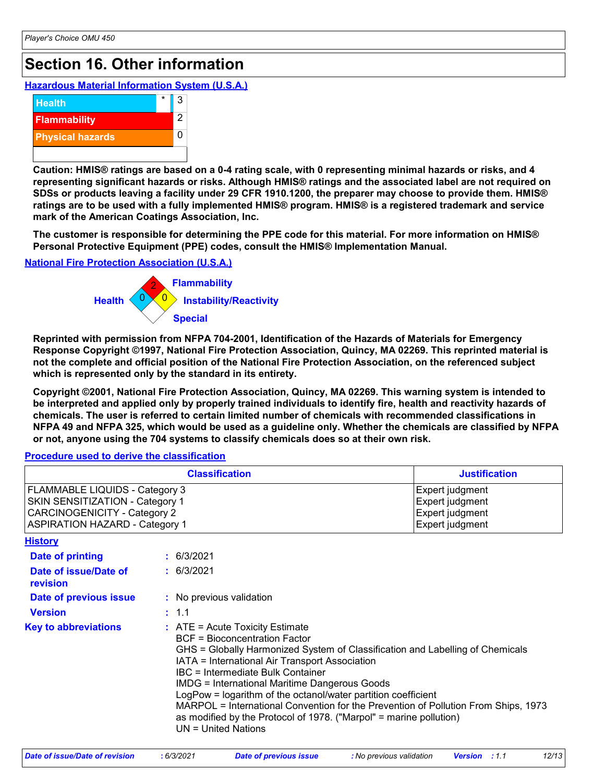# **Section 16. Other information**

**Hazardous Material Information System (U.S.A.)**



**Caution: HMIS® ratings are based on a 0-4 rating scale, with 0 representing minimal hazards or risks, and 4 representing significant hazards or risks. Although HMIS® ratings and the associated label are not required on SDSs or products leaving a facility under 29 CFR 1910.1200, the preparer may choose to provide them. HMIS® ratings are to be used with a fully implemented HMIS® program. HMIS® is a registered trademark and service mark of the American Coatings Association, Inc.**

**The customer is responsible for determining the PPE code for this material. For more information on HMIS® Personal Protective Equipment (PPE) codes, consult the HMIS® Implementation Manual.**

**National Fire Protection Association (U.S.A.)**



**Reprinted with permission from NFPA 704-2001, Identification of the Hazards of Materials for Emergency Response Copyright ©1997, National Fire Protection Association, Quincy, MA 02269. This reprinted material is not the complete and official position of the National Fire Protection Association, on the referenced subject which is represented only by the standard in its entirety.**

**Copyright ©2001, National Fire Protection Association, Quincy, MA 02269. This warning system is intended to be interpreted and applied only by properly trained individuals to identify fire, health and reactivity hazards of chemicals. The user is referred to certain limited number of chemicals with recommended classifications in NFPA 49 and NFPA 325, which would be used as a guideline only. Whether the chemicals are classified by NFPA or not, anyone using the 704 systems to classify chemicals does so at their own risk.**

#### **Procedure used to derive the classification**

|                                                                                                                                                   | <b>Justification</b>                                                                                                                                                                           |                                                                                                                                                                                                                                                                                                                                                                    |  |
|---------------------------------------------------------------------------------------------------------------------------------------------------|------------------------------------------------------------------------------------------------------------------------------------------------------------------------------------------------|--------------------------------------------------------------------------------------------------------------------------------------------------------------------------------------------------------------------------------------------------------------------------------------------------------------------------------------------------------------------|--|
| FLAMMABLE LIQUIDS - Category 3<br>SKIN SENSITIZATION - Category 1<br><b>CARCINOGENICITY - Category 2</b><br><b>ASPIRATION HAZARD - Category 1</b> |                                                                                                                                                                                                | Expert judgment<br>Expert judgment<br>Expert judgment<br>Expert judgment                                                                                                                                                                                                                                                                                           |  |
| <b>History</b>                                                                                                                                    |                                                                                                                                                                                                |                                                                                                                                                                                                                                                                                                                                                                    |  |
| <b>Date of printing</b>                                                                                                                           | : 6/3/2021                                                                                                                                                                                     |                                                                                                                                                                                                                                                                                                                                                                    |  |
| Date of issue/Date of<br>revision                                                                                                                 | : 6/3/2021                                                                                                                                                                                     |                                                                                                                                                                                                                                                                                                                                                                    |  |
| Date of previous issue                                                                                                                            | : No previous validation                                                                                                                                                                       |                                                                                                                                                                                                                                                                                                                                                                    |  |
| <b>Version</b>                                                                                                                                    | : 1.1                                                                                                                                                                                          |                                                                                                                                                                                                                                                                                                                                                                    |  |
| <b>Key to abbreviations</b>                                                                                                                       | $:$ ATE = Acute Toxicity Estimate<br><b>BCF</b> = Bioconcentration Factor<br>IATA = International Air Transport Association<br><b>IBC</b> = Intermediate Bulk Container<br>UN = United Nations | GHS = Globally Harmonized System of Classification and Labelling of Chemicals<br><b>IMDG = International Maritime Dangerous Goods</b><br>LogPow = logarithm of the octanol/water partition coefficient<br>MARPOL = International Convention for the Prevention of Pollution From Ships, 1973<br>as modified by the Protocol of 1978. ("Marpol" = marine pollution) |  |